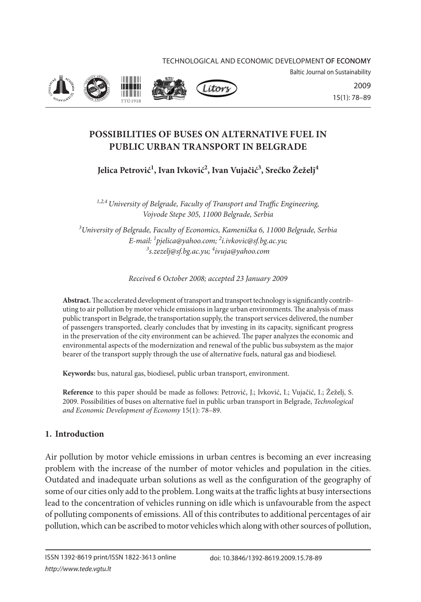TECHNOLOGICAL AND ECONOMIC DEVELOPMENT OF ECONOMY



2009 15(1): 78–89

Baltic Journal on Sustainability

# **POSSIBILITIES OF BUSES ON ALTERNATIVE FUEL IN PUBLIC URBAN TRANSPORT IN BELGRADE**

Jelica Petrović<sup>1</sup>, Ivan Ivković<sup>2</sup>, Ivan Vujačić<sup>3</sup>, Srećko Žeželj<sup>4</sup>

*1,2,4 University of Belgrade, Faculty of Transport and Traffic Engineering, Vojvode Stepe 305, 11000 Belgrade, Serbia*

*3 University of Belgrade, Faculty of Economics, Kamenička 6, 11000 Belgrade, Serbia E-mail: 1 pjelica@yahoo.com; 2 i.ivkovic@sf.bg.ac.yu; 3 s.zezelj@sf.bg.ac.yu; 4 ivuja@yahoo.com*

*Received 6 October 2008; accepted 23 January 2009*

**Abstract.** The accelerated development of transport and transport technology is significantly contributing to air pollution by motor vehicle emissions in large urban environments. The analysis of mass public transport in Belgrade, the transportation supply, the transport services delivered, the number of passengers transported, clearly concludes that by investing in its capacity, significant progress in the preservation of the city environment can be achieved. The paper analyzes the economic and environmental aspects of the modernization and renewal of the public bus subsystem as the major bearer of the transport supply through the use of alternative fuels, natural gas and biodiesel.

**Keywords:** bus, natural gas, biodiesel, public urban transport, environment.

**Reference** to this paper should be made as follows: Petrović, J.; Ivković, I.; Vujačić, I.; Žeželj, S. 2009. Possibilities of buses on alternative fuel in public urban transport in Belgrade, *Technological and Economic Development of Economy* 15(1): 78–89.

# **1. Introduction**

Air pollution by motor vehicle emissions in urban centres is becoming an ever increasing problem with the increase of the number of motor vehicles and population in the cities. Outdated and inadequate urban solutions as well as the configuration of the geography of some of our cities only add to the problem. Long waits at the traffic lights at busy intersections lead to the concentration of vehicles running on idle which is unfavourable from the aspect of polluting components of emissions. All of this contributes to additional percentages of air pollution, which can be ascribed to motor vehicles which along with other sources of pollution,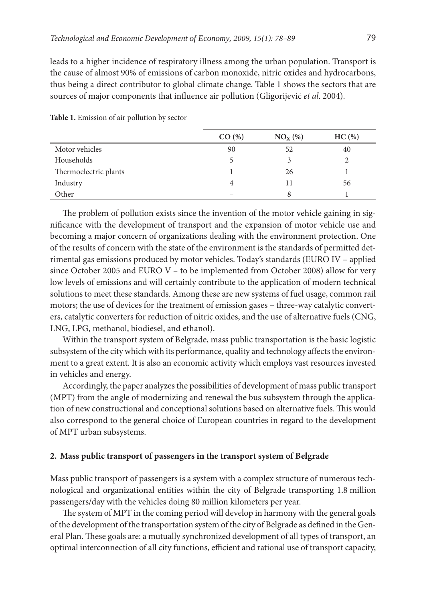leads to a higher incidence of respiratory illness among the urban population. Transport is the cause of almost 90% of emissions of carbon monoxide, nitric oxides and hydrocarbons, thus being a direct contributor to global climate change. Table 1 shows the sectors that are sources of major components that influence air pollution (Gligorijević *et al*. 2004).

|                       | CO(%) | $NOx(\%)$ | HC(%) |
|-----------------------|-------|-----------|-------|
| Motor vehicles        | 90    | 52        | 40    |
| Households            | 5     |           |       |
| Thermoelectric plants |       | 26        |       |
| Industry              |       |           | 56    |
| Other                 |       |           |       |

**Table 1.** Emission of air pollution by sector

The problem of pollution exists since the invention of the motor vehicle gaining in significance with the development of transport and the expansion of motor vehicle use and becoming a major concern of organizations dealing with the environment protection. One of the results of concern with the state of the environment is the standards of permitted detrimental gas emissions produced by motor vehicles. Today's standards (EURO IV – applied since October 2005 and EURO V – to be implemented from October 2008) allow for very low levels of emissions and will certainly contribute to the application of modern technical solutions to meet these standards. Among these are new systems of fuel usage, common rail motors; the use of devices for the treatment of emission gases – three-way catalytic converters, catalytic converters for reduction of nitric oxides, and the use of alternative fuels (CNG, LNG, LPG, methanol, biodiesel, and ethanol).

Within the transport system of Belgrade, mass public transportation is the basic logistic subsystem of the city which with its performance, quality and technology affects the environment to a great extent. It is also an economic activity which employs vast resources invested in vehicles and energy.

Accordingly, the paper analyzes the possibilities of development of mass public transport (MPT) from the angle of modernizing and renewal the bus subsystem through the application of new constructional and conceptional solutions based on alternative fuels. This would also correspond to the general choice of European countries in regard to the development of MPT urban subsystems.

# **2. Mass public transport of passengers in the transport system of Belgrade**

Mass public transport of passengers is a system with a complex structure of numerous technological and organizational entities within the city of Belgrade transporting 1.8 million passengers/day with the vehicles doing 80 million kilometers per year.

The system of MPT in the coming period will develop in harmony with the general goals of the development of the transportation system of the city of Belgrade as defined in the General Plan. These goals are: a mutually synchronized development of all types of transport, an optimal interconnection of all city functions, efficient and rational use of transport capacity,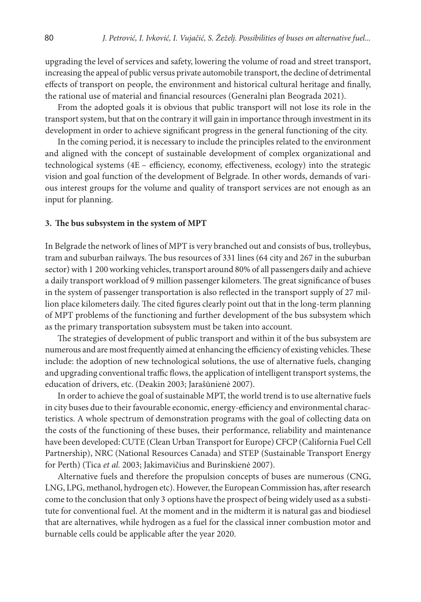upgrading the level of services and safety, lowering the volume of road and street transport, increasing the appeal of public versus private automobile transport, the decline of detrimental effects of transport on people, the environment and historical cultural heritage and finally, the rational use of material and financial resources (Generalni plan Beograda 2021).

From the adopted goals it is obvious that public transport will not lose its role in the transport system, but that on the contrary it will gain in importance through investment in its development in order to achieve significant progress in the general functioning of the city.

In the coming period, it is necessary to include the principles related to the environment and aligned with the concept of sustainable development of complex organizational and technological systems (4E – efficiency, economy, effectiveness, ecology) into the strategic vision and goal function of the development of Belgrade. In other words, demands of various interest groups for the volume and quality of transport services are not enough as an input for planning.

## **3. The bus subsystem in the system of MPT**

In Belgrade the network of lines of MPT is very branched out and consists of bus, trolleybus, tram and suburban railways. The bus resources of 331 lines (64 city and 267 in the suburban sector) with 1 200 working vehicles, transport around 80% of all passengers daily and achieve a daily transport workload of 9 million passenger kilometers. The great significance of buses in the system of passenger transportation is also reflected in the transport supply of 27 million place kilometers daily. The cited figures clearly point out that in the long-term planning of MPT problems of the functioning and further development of the bus subsystem which as the primary transportation subsystem must be taken into account.

The strategies of development of public transport and within it of the bus subsystem are numerous and are most frequently aimed at enhancing the efficiency of existing vehicles. These include: the adoption of new technological solutions, the use of alternative fuels, changing and upgrading conventional traffic flows, the application of intelligent transport systems, the education of drivers, etc. (Deakin 2003; Jarašūnienė 2007).

In order to achieve the goal of sustainable MPT, the world trend is to use alternative fuels in city buses due to their favourable economic, energy-efficiency and environmental characteristics. A whole spectrum of demonstration programs with the goal of collecting data on the costs of the functioning of these buses, their performance, reliability and maintenance have been developed: CUTE (Clean Urban Transport for Europe) CFCP (California Fuel Cell Partnership), NRC (National Resources Canada) and STEP (Sustainable Transport Energy for Perth) (Tica *et al.* 2003; Jakimavičius and Burinskienė 2007).

Alternative fuels and therefore the propulsion concepts of buses are numerous (CNG, LNG, LPG, methanol, hydrogen etc). However, the European Commission has, after research come to the conclusion that only 3 options have the prospect of being widely used as a substitute for conventional fuel. At the moment and in the midterm it is natural gas and biodiesel that are alternatives, while hydrogen as a fuel for the classical inner combustion motor and burnable cells could be applicable after the year 2020.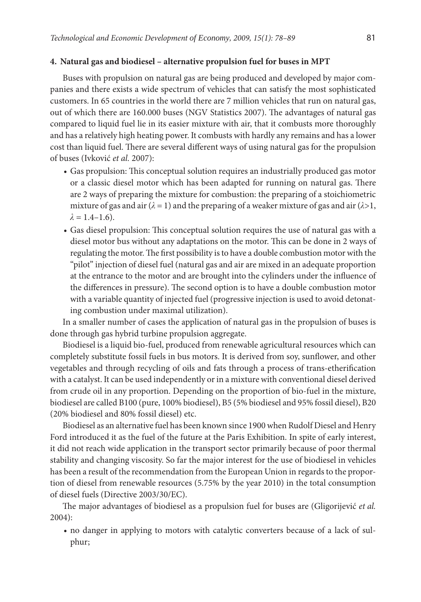## **4. Natural gas and biodiesel – alternative propulsion fuel for buses in MPT**

Buses with propulsion on natural gas are being produced and developed by major companies and there exists a wide spectrum of vehicles that can satisfy the most sophisticated customers. In 65 countries in the world there are 7 million vehicles that run on natural gas, out of which there are 160.000 buses (NGV Statistics 2007). The advantages of natural gas compared to liquid fuel lie in its easier mixture with air, that it combusts more thoroughly and has a relatively high heating power. It combusts with hardly any remains and has a lower cost than liquid fuel. There are several different ways of using natural gas for the propulsion of buses (Ivković *et al.* 2007):

- Gas propulsion: This conceptual solution requires an industrially produced gas motor or a classic diesel motor which has been adapted for running on natural gas. There are 2 ways of preparing the mixture for combustion: the preparing of a stoichiometric mixture of gas and air (*λ* = 1) and the preparing of a weaker mixture of gas and air (*λ*>1,  $\lambda = 1.4 - 1.6$ .
- Gas diesel propulsion: This conceptual solution requires the use of natural gas with a diesel motor bus without any adaptations on the motor. This can be done in 2 ways of regulating the motor. The first possibility is to have a double combustion motor with the "pilot" injection of diesel fuel (natural gas and air are mixed in an adequate proportion at the entrance to the motor and are brought into the cylinders under the influence of the differences in pressure). The second option is to have a double combustion motor with a variable quantity of injected fuel (progressive injection is used to avoid detonating combustion under maximal utilization).

In a smaller number of cases the application of natural gas in the propulsion of buses is done through gas hybrid turbine propulsion aggregate.

Biodiesel is a liquid bio-fuel, produced from renewable agricultural resources which can completely substitute fossil fuels in bus motors. It is derived from soy, sunflower, and other vegetables and through recycling of oils and fats through a process of trans-etherification with a catalyst. It can be used independently or in a mixture with conventional diesel derived from crude oil in any proportion. Depending on the proportion of bio-fuel in the mixture, biodiesel are called B100 (pure, 100% biodiesel), B5 (5% biodiesel and 95% fossil diesel), B20 (20% biodiesel and 80% fossil diesel) etc.

Biodiesel as an alternative fuel has been known since 1900 when Rudolf Diesel and Henry Ford introduced it as the fuel of the future at the Paris Exhibition. In spite of early interest, it did not reach wide application in the transport sector primarily because of poor thermal stability and changing viscosity. So far the major interest for the use of biodiesel in vehicles has been a result of the recommendation from the European Union in regards to the proportion of diesel from renewable resources (5.75% by the year 2010) in the total consumption of diesel fuels (Directive 2003/30/EC).

The major advantages of biodiesel as a propulsion fuel for buses are (Gligorijević *et al.*  2004):

• no danger in applying to motors with catalytic converters because of a lack of sulphur;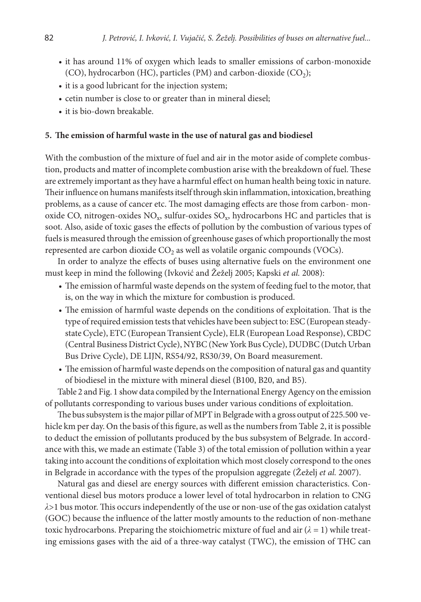- it has around 11% of oxygen which leads to smaller emissions of carbon-monoxide (CO), hydrocarbon (HC), particles (PM) and carbon-dioxide (CO<sub>2</sub>);
- it is a good lubricant for the injection system;
- cetin number is close to or greater than in mineral diesel;
- it is bio-down breakable.

## **5. The emission of harmful waste in the use of natural gas and biodiesel**

With the combustion of the mixture of fuel and air in the motor aside of complete combustion, products and matter of incomplete combustion arise with the breakdown of fuel. These are extremely important as they have a harmful effect on human health being toxic in nature. Their influence on humans manifests itself through skin inflammation, intoxication, breathing problems, as a cause of cancer etc. The most damaging effects are those from carbon- monoxide CO, nitrogen-oxides  $NO<sub>x</sub>$ , sulfur-oxides  $SO<sub>x</sub>$ , hydrocarbons HC and particles that is soot. Also, aside of toxic gases the effects of pollution by the combustion of various types of fuels is measured through the emission of greenhouse gases of which proportionally the most represented are carbon dioxide  $CO<sub>2</sub>$  as well as volatile organic compounds (VOCs).

In order to analyze the effects of buses using alternative fuels on the environment one must keep in mind the following (Ivković and Žeželj 2005; Kapski *et al.* 2008):

- The emission of harmful waste depends on the system of feeding fuel to the motor, that is, on the way in which the mixture for combustion is produced.
- The emission of harmful waste depends on the conditions of exploitation. That is the type of required emission tests that vehicles have been subject to: ESC (European steadystate Cycle), ETC (European Transient Cycle), ELR (European Load Response), CBDC (Central Business District Cycle), NYBC (New York Bus Cycle), DUDBC (Dutch Urban Bus Drive Cycle), DE LIJN, RS54/92, RS30/39, On Board measurement.
- The emission of harmful waste depends on the composition of natural gas and quantity of biodiesel in the mixture with mineral diesel (B100, B20, and B5).

Table 2 and Fig. 1 show data compiled by the International Energy Agency on the emission of pollutants corresponding to various buses under various conditions of exploitation.

The bus subsystem is the major pillar of MPT in Belgrade with a gross output of 225.500 vehicle km per day. On the basis of this figure, as well as the numbers from Table 2, it is possible to deduct the emission of pollutants produced by the bus subsystem of Belgrade. In accordance with this, we made an estimate (Table 3) of the total emission of pollution within a year taking into account the conditions of exploitation which most closely correspond to the ones in Belgrade in accordance with the types of the propulsion aggregate (Žeželj *et al.* 2007).

Natural gas and diesel are energy sources with different emission characteristics. Conventional diesel bus motors produce a lower level of total hydrocarbon in relation to CNG *λ*>1 bus motor. This occurs independently of the use or non-use of the gas oxidation catalyst (GOC) because the influence of the latter mostly amounts to the reduction of non-methane toxic hydrocarbons. Preparing the stoichiometric mixture of fuel and air  $(\lambda = 1)$  while treating emissions gases with the aid of a three-way catalyst (TWC), the emission of THC can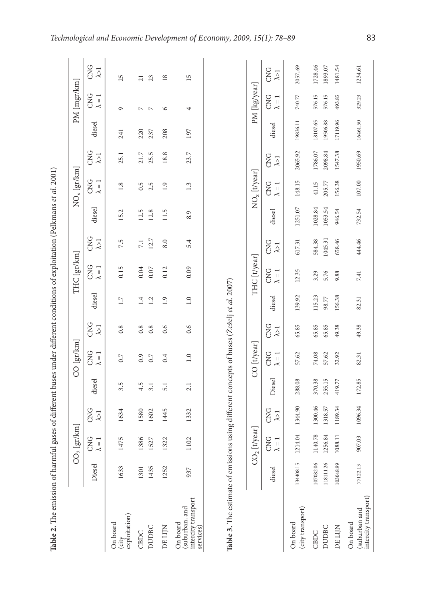| l           |
|-------------|
|             |
| j<br>ı      |
|             |
|             |
|             |
|             |
|             |
| ׇ֚֘֝֕       |
|             |
|             |
| ļ           |
|             |
| Š           |
|             |
|             |
| i           |
|             |
|             |
|             |
|             |
| i           |
|             |
|             |
|             |
| i<br>i      |
|             |
|             |
|             |
| Î           |
|             |
|             |
|             |
|             |
|             |
|             |
|             |
|             |
|             |
|             |
|             |
| Î           |
| i<br>C<br>C |
|             |
|             |
|             |
|             |
|             |
|             |
|             |
|             |
|             |
|             |
|             |
|             |
|             |
|             |
|             |
|             |
|             |
| I           |
|             |
| Je 2        |
|             |

| Table 2. The emission of harmful gases of different buses under different conditions of exploitation (Pelkmans <i>et al.</i> 2001) |           |                          |                    |        |                                 |                    |         |                        |                    |         |                          |                    |          |                      |                  |
|------------------------------------------------------------------------------------------------------------------------------------|-----------|--------------------------|--------------------|--------|---------------------------------|--------------------|---------|------------------------|--------------------|---------|--------------------------|--------------------|----------|----------------------|------------------|
|                                                                                                                                    |           | $CO2$ [gr/km]            |                    |        | CO[gr/km]                       |                    |         | THC [gr/km]            |                    |         | $NO_x$ [gr/km]           |                    |          | $PM[$ mgr/km $]$     |                  |
|                                                                                                                                    | Diesel    | CNG<br>$\lambda = 1$     | CNG<br>$\gtrsim$   | diesel | $CNT$<br>$\lambda = 1$          | CNG<br>$\gtrsim$ 1 | diesel  | $CNG$<br>$\lambda = 1$ | CNG<br>$\lambda$ l | diesel  | CNG<br>$\lambda=1$       | CNG<br>$\lambda$ ) | diesel   | CNG<br>$\lambda = 1$ | CNG<br>$\gtrsim$ |
| exploitation)<br>On board<br>(city                                                                                                 | 1633      | 1475                     | 1634               | 3.5    | 0.7                             | 0.8                | 1.7     | 0.15                   | 7.5                | 15.2    | 1.8                      | 25.1               | 241      | $\sigma$             | 25               |
| CBDC                                                                                                                               | 1301      | 1386                     | 1580               | 4.5    | 0.9                             | 0.8                | 1.4     | 0.04                   | $\overline{71}$    | 12.5    | $0.\overline{5}$         | 21.7               | 220      |                      | $\overline{c}$   |
| DUDBC                                                                                                                              | 1435      | 1527                     | 1602               | 3.1    | 0.7                             | 0.8                | 1.2     | $0.07$                 | $12.7\,$           | 12.8    | 2.5                      | 25.5               | 237      | $\sim$ $\sim$        | 23               |
| DE LIJN                                                                                                                            | 1252      | 1322                     | 1445               | 5.1    | 0.4                             | 0.6                | 1.9     | 0.12                   | 8.0                | 11.5    | 1.9                      | 18.8               | 208      | $\circ$              | 18               |
| intercity transport<br>services)<br>(suburban. and<br>On board                                                                     | 937       | 1102                     | 1332               | 2.1    | $1.0$                           | 0.6                | $1.0\,$ | 0.09                   | 5.4                | 8.9     | 1.3                      | 23.7               | 197      | 4                    | S                |
| Table 3. The estimate of emissions using different concepts of buses (Žeželj et al. 2007)                                          |           |                          |                    |        |                                 |                    |         |                        |                    |         |                          |                    |          |                      |                  |
|                                                                                                                                    |           | CO <sub>2</sub> [t/year] |                    |        | CO [t/year]                     |                    |         | THC [t/year]           |                    |         | NO <sub>x</sub> [t/year] |                    |          | PM [kg/year]         |                  |
|                                                                                                                                    | diesel    | CNG<br>$\lambda = 1$     | CNG<br>$\gtrsim$ 1 | Diesel | CNG<br>$\overline{\phantom{a}}$ | CNG<br>$\gtrsim$   | diesel  | CNG<br>$\lambda=1$     | CNG<br>$\gtrsim$   | diesel  | CNG<br>$\lambda = 1$     | CNG<br>$\gtrsim$   | diesel   | CNG<br>$\lambda = 1$ | CNG<br>$\gtrsim$ |
| (city transport)<br>On board                                                                                                       | 134408.15 | 1214.04                  | 1344.90            | 288.08 | 57.62                           | 65.85              | 139.92  | 12.35                  | 617.31             | 1251.07 | 148.15                   | 2065.92            | 19836.11 | 740.77               | 2057.69          |
| <b>CBDC</b>                                                                                                                        | 107082.06 | 1140.78                  | 1300.46            | 370.38 | 74.08                           | 65.85              | 115.23  | 3.29                   | 584.38             | 1028.84 | 41.15                    | 1786.07            | 18107.65 | 576.15               | 1728.46          |
| DUDBC                                                                                                                              | 118111.26 | 1256.84                  | 1318.57            | 255.15 | 57.62                           | 65.85              | 98.77   | 5.76                   | 1045.31            | 1053.54 | 205.77                   | 2098.84            | 19506.88 | 576.15               | 1893.07          |
| DE LIJN                                                                                                                            | 103048.99 | 1088.11                  | 1189.34            | 419.77 | 32.92                           | 49.38              | 156.38  | 9.88                   | 658.46             | 946.54  | 156.38                   | 1547.38            | 17119.96 | 493.85               | 1481.54          |
| intercity transport)<br>(suburban and<br>On board                                                                                  | 77122.13  | 907.03                   | 1096.34            | 172.85 | 82.31                           | 49.38              | 82.31   | 7.41                   | 444.46             | 732.54  | 107.00                   | 1950.69            | 16461.50 | 329.23               | 1234.61          |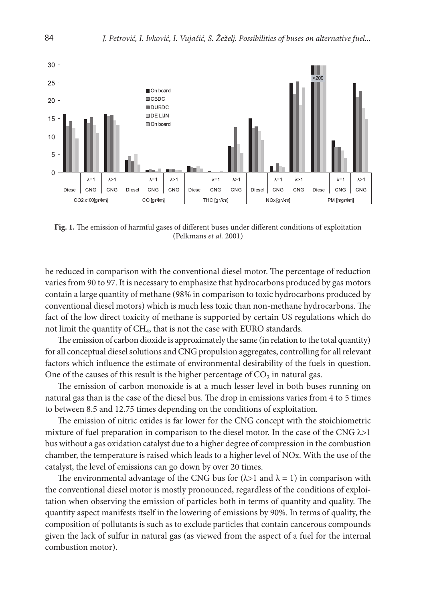

**Fig. 1.** The emission of harmful gases of different buses under different conditions of exploitation (Pelkmans *et al.* 2001)

be reduced in comparison with the conventional diesel motor. The percentage of reduction varies from 90 to 97. It is necessary to emphasize that hydrocarbons produced by gas motors contain a large quantity of methane (98% in comparison to toxic hydrocarbons produced by conventional diesel motors) which is much less toxic than non-methane hydrocarbons. The fact of the low direct toxicity of methane is supported by certain US regulations which do not limit the quantity of  $CH<sub>4</sub>$ , that is not the case with EURO standards.

The emission of carbon dioxide is approximately the same (in relation to the total quantity) for all conceptual diesel solutions and CNG propulsion aggregates, controlling for all relevant factors which influence the estimate of environmental desirability of the fuels in question. One of the causes of this result is the higher percentage of  $CO<sub>2</sub>$  in natural gas.

The emission of carbon monoxide is at a much lesser level in both buses running on natural gas than is the case of the diesel bus. The drop in emissions varies from 4 to 5 times to between 8.5 and 12.75 times depending on the conditions of exploitation.

The emission of nitric oxides is far lower for the CNG concept with the stoichiometric mixture of fuel preparation in comparison to the diesel motor. In the case of the CNG  $\lambda$ >1 bus without a gas oxidation catalyst due to a higher degree of compression in the combustion chamber, the temperature is raised which leads to a higher level of NOx. With the use of the catalyst, the level of emissions can go down by over 20 times.

The environmental advantage of the CNG bus for  $(\lambda > 1$  and  $\lambda = 1)$  in comparison with the conventional diesel motor is mostly pronounced, regardless of the conditions of exploitation when observing the emission of particles both in terms of quantity and quality. The quantity aspect manifests itself in the lowering of emissions by 90%. In terms of quality, the composition of pollutants is such as to exclude particles that contain cancerous compounds given the lack of sulfur in natural gas (as viewed from the aspect of a fuel for the internal combustion motor).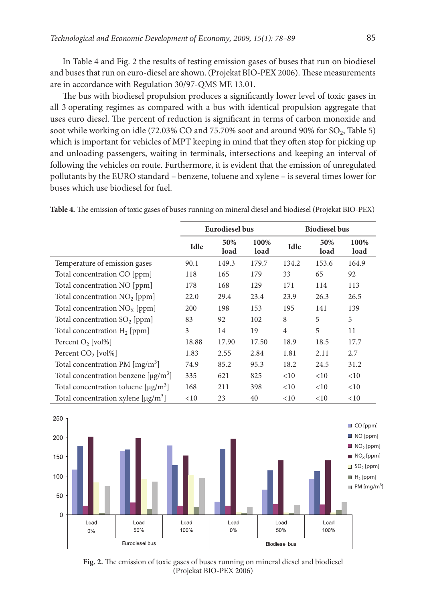In Table 4 and Fig. 2 the results of testing emission gases of buses that run on biodiesel and buses that run on euro-diesel are shown. (Projekat BIO-PEX 2006). These measurements are in accordance with Regulation 30/97-QMS ME 13.01.

The bus with biodiesel propulsion produces a significantly lower level of toxic gases in all 3 operating regimes as compared with a bus with identical propulsion aggregate that uses euro diesel. The percent of reduction is significant in terms of carbon monoxide and soot while working on idle (72.03% CO and 75.70% soot and around 90% for  $SO_2$ , Table 5) which is important for vehicles of MPT keeping in mind that they often stop for picking up and unloading passengers, waiting in terminals, intersections and keeping an interval of following the vehicles on route. Furthermore, it is evident that the emission of unregulated pollutants by the EURO standard – benzene, toluene and xylene – is several times lower for buses which use biodiesel for fuel.

**Table 4.** The emission of toxic gases of buses running on mineral diesel and biodiesel (Projekat BIO-PEX)

|                                           |       | <b>Eurodiesel bus</b> |              |                | <b>Biodiesel bus</b> |              |  |
|-------------------------------------------|-------|-----------------------|--------------|----------------|----------------------|--------------|--|
|                                           | Idle  | 50%<br>load           | 100%<br>load | Idle           | 50%<br>load          | 100%<br>load |  |
| Temperature of emission gases             | 90.1  | 149.3                 | 179.7        | 134.2          | 153.6                | 164.9        |  |
| Total concentration CO [ppm]              | 118   | 165                   | 179          | 33             | 65                   | 92           |  |
| Total concentration NO [ppm]              | 178   | 168                   | 129          | 171            | 114                  | 113          |  |
| Total concentration $NO2$ [ppm]           | 22.0  | 29.4                  | 23.4         | 23.9           | 26.3                 | 26.5         |  |
| Total concentration $NOX$ [ppm]           | 200   | 198                   | 153          | 195            | 141                  | 139          |  |
| Total concentration $SO_2$ [ppm]          | 83    | 92                    | 102          | 8              | 5                    | 5            |  |
| Total concentration $H_2$ [ppm]           | 3     | 14                    | 19           | $\overline{4}$ | 5                    | 11           |  |
| Percent $O_2$ [vol%]                      | 18.88 | 17.90                 | 17.50        | 18.9           | 18.5                 | 17.7         |  |
| Percent CO <sub>2</sub> [vol%]            | 1.83  | 2.55                  | 2.84         | 1.81           | 2.11                 | 2.7          |  |
| Total concentration PM $[\text{mg/m}^3]$  | 74.9  | 85.2                  | 95.3         | 18.2           | 24.5                 | 31.2         |  |
| Total concentration benzene $[\mu g/m^3]$ | 335   | 621                   | 825          | <10            | <10                  | <10          |  |
| Total concentration toluene $[\mu g/m^3]$ | 168   | 211                   | 398          | <10            | <10                  | <10          |  |
| Total concentration xylene $[\mu g/m^3]$  | <10   | 23                    | 40           | $<$ 10         | <10                  | <10          |  |



**Fig. 2.** The emission of toxic gases of buses running on mineral diesel and biodiesel (Projekat BIO-PEX 2006)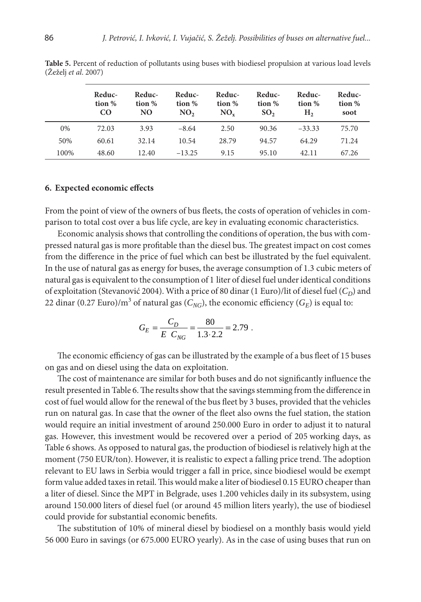|      | Reduc-<br>tion %<br><b>CO</b> | Reduc-<br>tion %<br>N <sub>O</sub> | Reduc-<br>tion %<br>NO <sub>2</sub> | Reduc-<br>tion %<br>$NO_{v}$ | Reduc-<br>tion %<br>SO <sub>2</sub> | Reduc-<br>tion %<br>Н, | Reduc-<br>tion %<br>soot |
|------|-------------------------------|------------------------------------|-------------------------------------|------------------------------|-------------------------------------|------------------------|--------------------------|
| 0%   | 72.03                         | 3.93                               | $-8.64$                             | 2.50                         | 90.36                               | $-33.33$               | 75.70                    |
| 50%  | 60.61                         | 32.14                              | 10.54                               | 28.79                        | 94.57                               | 64.29                  | 71.24                    |
| 100% | 48.60                         | 12.40                              | $-13.25$                            | 9.15                         | 95.10                               | 42.11                  | 67.26                    |

**Table 5.** Percent of reduction of pollutants using buses with biodiesel propulsion at various load levels (Žeželj *et al*. 2007)

#### **6. Expected economic effects**

From the point of view of the owners of bus fleets, the costs of operation of vehicles in comparison to total cost over a bus life cycle, are key in evaluating economic characteristics.

Economic analysis shows that controlling the conditions of operation, the bus with compressed natural gas is more profitable than the diesel bus. The greatest impact on cost comes from the difference in the price of fuel which can best be illustrated by the fuel equivalent. In the use of natural gas as energy for buses, the average consumption of 1.3 cubic meters of natural gas is equivalent to the consumption of 1 liter of diesel fuel under identical conditions of exploitation (Stevanović 2004). With a price of 80 dinar (1 Euro)/lit of diesel fuel  $(C_D)$  and 22 dinar (0.27 Euro)/m<sup>3</sup> of natural gas ( $C_{NG}$ ), the economic efficiency ( $G_E$ ) is equal to:

$$
G_E = \frac{C_D}{E \ C_{NG}} = \frac{80}{1.3 \cdot 2.2} = 2.79 \ .
$$

The economic efficiency of gas can be illustrated by the example of a bus fleet of 15 buses on gas and on diesel using the data on exploitation.

The cost of maintenance are similar for both buses and do not significantly influence the result presented in Table 6. The results show that the savings stemming from the difference in cost of fuel would allow for the renewal of the bus fleet by 3 buses, provided that the vehicles run on natural gas. In case that the owner of the fleet also owns the fuel station, the station would require an initial investment of around 250.000 Euro in order to adjust it to natural gas. However, this investment would be recovered over a period of 205 working days, as Table 6 shows. As opposed to natural gas, the production of biodiesel is relatively high at the moment (750 EUR/ton). However, it is realistic to expect a falling price trend. The adoption relevant to EU laws in Serbia would trigger a fall in price, since biodiesel would be exempt form value added taxes in retail. This would make a liter of biodiesel 0.15 EURO cheaper than a liter of diesel. Since the MPT in Belgrade, uses 1.200 vehicles daily in its subsystem, using around 150.000 liters of diesel fuel (or around 45 million liters yearly), the use of biodiesel could provide for substantial economic benefits.

The substitution of 10% of mineral diesel by biodiesel on a monthly basis would yield 56 000 Euro in savings (or 675.000 EURO yearly). As in the case of using buses that run on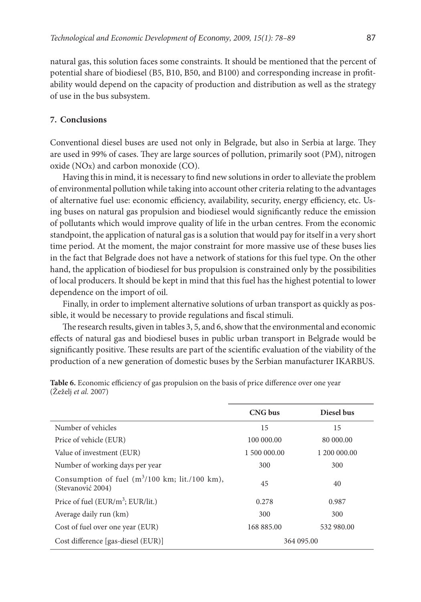natural gas, this solution faces some constraints. It should be mentioned that the percent of potential share of biodiesel (B5, B10, B50, and B100) and corresponding increase in profitability would depend on the capacity of production and distribution as well as the strategy of use in the bus subsystem.

## **7. Conclusions**

Conventional diesel buses are used not only in Belgrade, but also in Serbia at large. They are used in 99% of cases. They are large sources of pollution, primarily soot (PM), nitrogen oxide (NOx) and carbon monoxide (CO).

Having this in mind, it is necessary to find new solutions in order to alleviate the problem of environmental pollution while taking into account other criteria relating to the advantages of alternative fuel use: economic efficiency, availability, security, energy efficiency, etc. Using buses on natural gas propulsion and biodiesel would significantly reduce the emission of pollutants which would improve quality of life in the urban centres. From the economic standpoint, the application of natural gas is a solution that would pay for itself in a very short time period. At the moment, the major constraint for more massive use of these buses lies in the fact that Belgrade does not have a network of stations for this fuel type. On the other hand, the application of biodiesel for bus propulsion is constrained only by the possibilities of local producers. It should be kept in mind that this fuel has the highest potential to lower dependence on the import of oil.

Finally, in order to implement alternative solutions of urban transport as quickly as possible, it would be necessary to provide regulations and fiscal stimuli.

The research results, given in tables 3, 5, and 6, show that the environmental and economic effects of natural gas and biodiesel buses in public urban transport in Belgrade would be significantly positive. These results are part of the scientific evaluation of the viability of the production of a new generation of domestic buses by the Serbian manufacturer IKARBUS.

|                                                                                               | CNG bus      | Diesel bus   |  |
|-----------------------------------------------------------------------------------------------|--------------|--------------|--|
| Number of vehicles                                                                            | 15           | 15           |  |
| Price of vehicle (EUR)                                                                        | 100 000,00   | 80 000,00    |  |
| Value of investment (EUR)                                                                     | 1 500 000,00 | 1 200 000.00 |  |
| Number of working days per year                                                               | 300          | 300          |  |
| Consumption of fuel $(m^3/100 \text{ km}; \text{ lit.}/100 \text{ km}),$<br>(Stevanović 2004) | 45           | 40           |  |
| Price of fuel $(EUR/m^3; EUR/lit.)$                                                           | 0.278        | 0.987        |  |
| Average daily run (km)                                                                        | 300          | 300          |  |
| Cost of fuel over one year (EUR)                                                              | 168 885.00   | 532 980.00   |  |
| Cost difference [gas-diesel (EUR)]                                                            | 364 095.00   |              |  |

**Table 6.** Economic efficiency of gas propulsion on the basis of price difference over one year (Žeželj *et al.* 2007)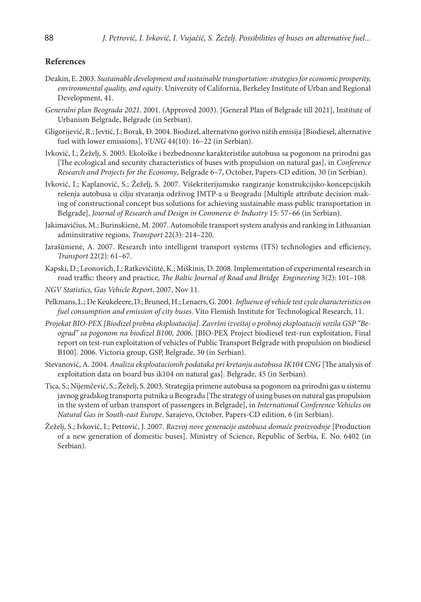## **References**

- Deakin, E. 2003. *Sustainable development and sustainable transportation: strategies for economic prosperity, environmental quality, and equity*. University of California, Berkeley Institute of Urban and Regional Development, 41.
- *Generalni plan Beograda 2021*. 2001. (Approved 2003). [General Plan of Belgrade till 2021], Institute of Urbanism Belgrade, Belgrade (in Serbian).
- Gligorijević, R.; Jevtić, J.; Borak, Đ. 2004. Biodizel, alternatvno gorivo nižih emisija [Biodiesel, alternative fuel with lower emissions], *YUNG* 44(10): 16–22 (in Serbian).
- Ivković, I.; Žeželj, S. 2005. Ekološke i bezbednosne karakteristike autobusa sa pogonom na prirodni gas [The ecological and security characteristics of buses with propulsion on natural gas], in *Conference Research and Projects for the Economy*, Belgrade 6–7, October, Papers-CD edition, 30 (in Serbian).
- Ivković, I.; Kaplanović, S.; Žeželj, S. 2007. Višekriterijumsko rangiranje konstrukcijsko-koncepcijskih rešenja autobusa u cilju stvaranja održivog JMTP-a u Beogradu [Multiple attribute decision making of constructional concept bus solutions for achieving sustainable mass public transportation in Belgrade], *Journal of Research and Design in Commerce & Industry* 15: 57–66 (in Serbian).
- Jakimavičius, M.; Burinskienė, M. 2007. Automobile transport system analysis and ranking in Lithuanian adminsitrative regions, *Transport* 22(3): 214–220.
- Jarašūnienė, A. 2007. Research into intelligent transport systems (ITS) technologies and efficiency, *Transport* 22(2): 61–67.
- Kapski, D.; Leonovich, I.; Ratkevičiūtė, K.; Miškinis, D. 2008. Implementation of experimental research in road traffic: theory and practice, *The Baltic Journal of Road and Bridge Engineering* 3(2): 101–108.
- *NGV Statistics, Gas Vehicle Report*, 2007, Nov 11.
- Pelkmans, L.; De Keukeleere, D.; Bruneel, H.; Lenaers, G. 2001. *Influence of vehicle test cycle characteristics on fuel consumption and emission of city buses*. Vito Flemish Institute for Technological Research, 11.
- *Projekat BIO-PEX [Biodizel probna eksploatacija]. Završni izveštaj o probnoj eksploataciji vozila GSP "Beograd" sa pogonom na biodizel B100, 2006.* [BIO-PEX Project biodiesel test-run exploitation, Final report on test-run exploitation of vehicles of Public Transport Belgrade with propulsion on biodiesel B100]. 2006. Victoria group, GSP, Belgrade, 30 (in Serbian).
- Stevanović, A. 2004. *Analiza eksploatacionih podataka pri kretanju autobusa IK104 CNG* [The analysis of exploitation data on board bus ik104 on natural gas]. Belgrade, 45 (in Serbian).
- Tica, S.; Nijemčević, S.; Žeželj, S. 2003. Strategija primene autobusa sa pogonom na prirodni gas u sistemu javnog gradskog transporta putnika u Beogradu [The strategy of using buses on natural gas propulsion in the system of urban transport of passengers in Belgrade], in *International Conference Vehicles on Natural Gas in South-east Europe.* Sarajevo, October, Papers-CD edition, 6 (in Serbian).
- Žeželj, S.; Ivković, I.; Petrović, J. 2007. *Razvoj nove generacije autobusa domaće proizvodnje* [Production of a new generation of domestic buses]. Ministry of Science, Republic of Serbia, E. No. 6402 (in Serbian).